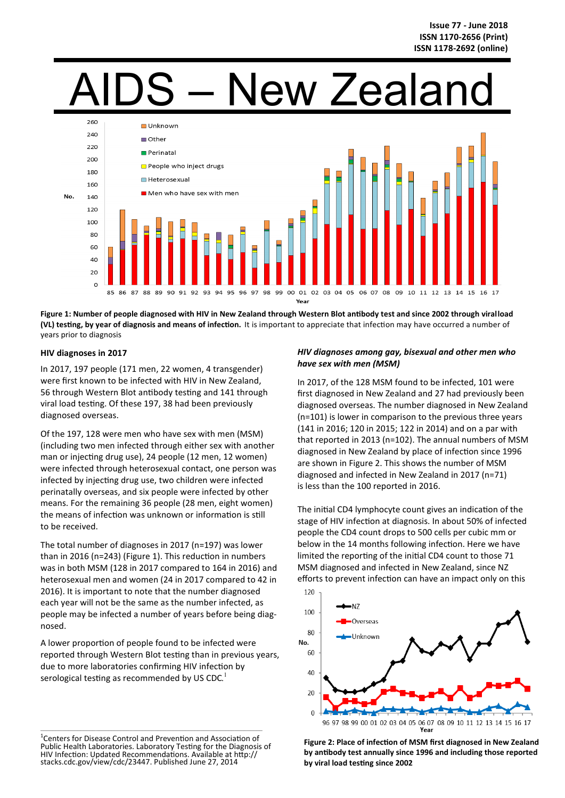# **New Zealand**



**Figure 1: Number of people diagnosed with HIV in New Zealand through Western Blot antibody test and since 2002 through viral load (VL) testing, by year of diagnosis and means of infection.** It is important to appreciate that infection may have occurred a number of years prior to diagnosis

# **HIV diagnoses in 2017**

In 2017, 197 people (171 men, 22 women, 4 transgender) were first known to be infected with HIV in New Zealand, 56 through Western Blot antibody testing and 141 through viral load testing. Of these 197, 38 had been previously diagnosed overseas.

Of the 197, 128 were men who have sex with men (MSM) (including two men infected through either sex with another man or injecting drug use), 24 people (12 men, 12 women) were infected through heterosexual contact, one person was infected by injecting drug use, two children were infected perinatally overseas, and six people were infected by other means. For the remaining 36 people (28 men, eight women) the means of infection was unknown or information is still to be received.

The total number of diagnoses in 2017 (n=197) was lower than in 2016 (n=243) (Figure 1). This reduction in numbers was in both MSM (128 in 2017 compared to 164 in 2016) and heterosexual men and women (24 in 2017 compared to 42 in 2016). It is important to note that the number diagnosed each year will not be the same as the number infected, as people may be infected a number of years before being diagnosed.

A lower proportion of people found to be infected were reported through Western Blot testing than in previous years, due to more laboratories confirming HIV infection by serological testing as recommended by US CDC.<sup>1</sup>

 $\mathcal{L}_\text{max} = \mathcal{L}_\text{max} = \mathcal{L}_\text{max} = \mathcal{L}_\text{max} = \mathcal{L}_\text{max} = \mathcal{L}_\text{max} = \mathcal{L}_\text{max} = \mathcal{L}_\text{max} = \mathcal{L}_\text{max} = \mathcal{L}_\text{max} = \mathcal{L}_\text{max} = \mathcal{L}_\text{max} = \mathcal{L}_\text{max} = \mathcal{L}_\text{max} = \mathcal{L}_\text{max} = \mathcal{L}_\text{max} = \mathcal{L}_\text{max} = \mathcal{L}_\text{max} = \mathcal{$ 

# *HIV diagnoses among gay, bisexual and other men who have sex with men (MSM)*

In 2017, of the 128 MSM found to be infected, 101 were first diagnosed in New Zealand and 27 had previously been diagnosed overseas. The number diagnosed in New Zealand (n=101) is lower in comparison to the previous three years (141 in 2016; 120 in 2015; 122 in 2014) and on a par with that reported in 2013 (n=102). The annual numbers of MSM diagnosed in New Zealand by place of infection since 1996 are shown in Figure 2. This shows the number of MSM diagnosed and infected in New Zealand in 2017 (n=71) is less than the 100 reported in 2016.

The initial CD4 lymphocyte count gives an indication of the stage of HIV infection at diagnosis. In about 50% of infected people the CD4 count drops to 500 cells per cubic mm or below in the 14 months following infection. Here we have limited the reporting of the initial CD4 count to those 71 MSM diagnosed and infected in New Zealand, since NZ efforts to prevent infection can have an impact only on this



**Figure 2: Place of infection of MSM first diagnosed in New Zealand by antibody test annually since 1996 and including those reported by viral load testing since 2002** 

<sup>&</sup>lt;sup>1</sup> Centers for Disease Control and Prevention and Association of Public Health Laboratories. Laboratory Testing for the Diagnosis of HIV Infection: Updated Recommendations. Available at http:// stacks.cdc.gov/view/cdc/23447. Published June 27, 2014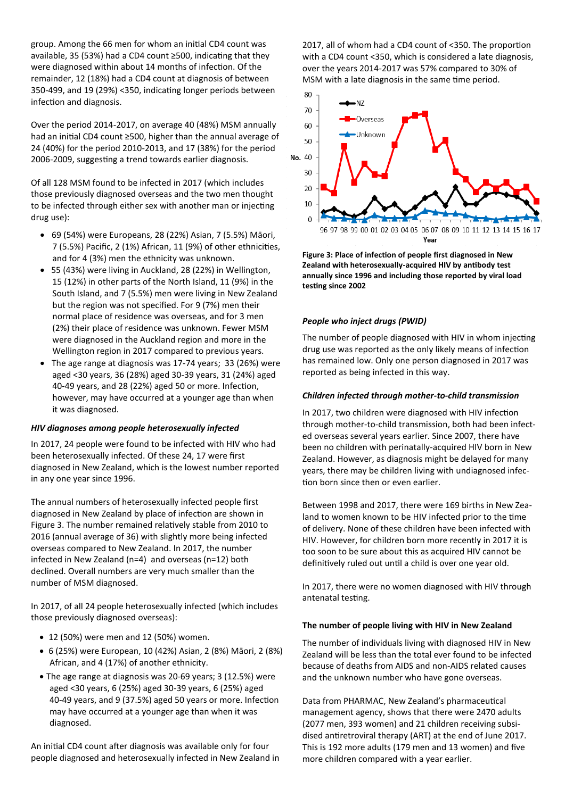group. Among the 66 men for whom an initial CD4 count was available, 35 (53%) had a CD4 count ≥500, indicating that they were diagnosed within about 14 months of infection. Of the remainder, 12 (18%) had a CD4 count at diagnosis of between 350-499, and 19 (29%) <350, indicating longer periods between infection and diagnosis.

Over the period 2014-2017, on average 40 (48%) MSM annually had an initial CD4 count ≥500, higher than the annual average of 24 (40%) for the period 2010-2013, and 17 (38%) for the period 2006-2009, suggesting a trend towards earlier diagnosis.

Of all 128 MSM found to be infected in 2017 (which includes those previously diagnosed overseas and the two men thought to be infected through either sex with another man or injecting drug use):

- 69 (54%) were Europeans, 28 (22%) Asian, 7 (5.5%) Māori, 7 (5.5%) Pacific, 2 (1%) African, 11 (9%) of other ethnicities, and for 4 (3%) men the ethnicity was unknown.
- 55 (43%) were living in Auckland, 28 (22%) in Wellington, 15 (12%) in other parts of the North Island, 11 (9%) in the South Island, and 7 (5.5%) men were living in New Zealand but the region was not specified. For 9 (7%) men their normal place of residence was overseas, and for 3 men (2%) their place of residence was unknown. Fewer MSM were diagnosed in the Auckland region and more in the Wellington region in 2017 compared to previous years.
- The age range at diagnosis was 17-74 years; 33 (26%) were aged <30 years, 36 (28%) aged 30-39 years, 31 (24%) aged 40-49 years, and 28 (22%) aged 50 or more. Infection, however, may have occurred at a younger age than when it was diagnosed.

# *HIV diagnoses among people heterosexually infected*

In 2017, 24 people were found to be infected with HIV who had been heterosexually infected. Of these 24, 17 were first diagnosed in New Zealand, which is the lowest number reported in any one year since 1996.

The annual numbers of heterosexually infected people first diagnosed in New Zealand by place of infection are shown in Figure 3. The number remained relatively stable from 2010 to 2016 (annual average of 36) with slightly more being infected overseas compared to New Zealand. In 2017, the number infected in New Zealand (n=4) and overseas (n=12) both declined. Overall numbers are very much smaller than the number of MSM diagnosed.

In 2017, of all 24 people heterosexually infected (which includes those previously diagnosed overseas):

- 12 (50%) were men and 12 (50%) women.
- 6 (25%) were European, 10 (42%) Asian, 2 (8%) Māori, 2 (8%) African, and 4 (17%) of another ethnicity.
- The age range at diagnosis was 20-69 years; 3 (12.5%) were aged <30 years, 6 (25%) aged 30-39 years, 6 (25%) aged 40-49 years, and 9 (37.5%) aged 50 years or more. Infection may have occurred at a younger age than when it was diagnosed.

An initial CD4 count after diagnosis was available only for four people diagnosed and heterosexually infected in New Zealand in

2017, all of whom had a CD4 count of <350. The proportion with a CD4 count <350, which is considered a late diagnosis, over the years 2014-2017 was 57% compared to 30% of MSM with a late diagnosis in the same time period.



**Figure 3: Place of infection of people first diagnosed in New Zealand with heterosexually-acquired HIV by antibody test annually since 1996 and including those reported by viral load testing since 2002** 

# *People who inject drugs (PWID)*

The number of people diagnosed with HIV in whom injecting drug use was reported as the only likely means of infection has remained low. Only one person diagnosed in 2017 was reported as being infected in this way.

# *Children infected through mother-to-child transmission*

In 2017, two children were diagnosed with HIV infection through mother-to-child transmission, both had been infected overseas several years earlier. Since 2007, there have been no children with perinatally-acquired HIV born in New Zealand. However, as diagnosis might be delayed for many years, there may be children living with undiagnosed infection born since then or even earlier.

Between 1998 and 2017, there were 169 births in New Zealand to women known to be HIV infected prior to the time of delivery. None of these children have been infected with HIV. However, for children born more recently in 2017 it is too soon to be sure about this as acquired HIV cannot be definitively ruled out until a child is over one year old.

In 2017, there were no women diagnosed with HIV through antenatal testing.

### **The number of people living with HIV in New Zealand**

The number of individuals living with diagnosed HIV in New Zealand will be less than the total ever found to be infected because of deaths from AIDS and non-AIDS related causes and the unknown number who have gone overseas.

Data from PHARMAC, New Zealand's pharmaceutical management agency, shows that there were 2470 adults (2077 men, 393 women) and 21 children receiving subsidised antiretroviral therapy (ART) at the end of June 2017. This is 192 more adults (179 men and 13 women) and five more children compared with a year earlier.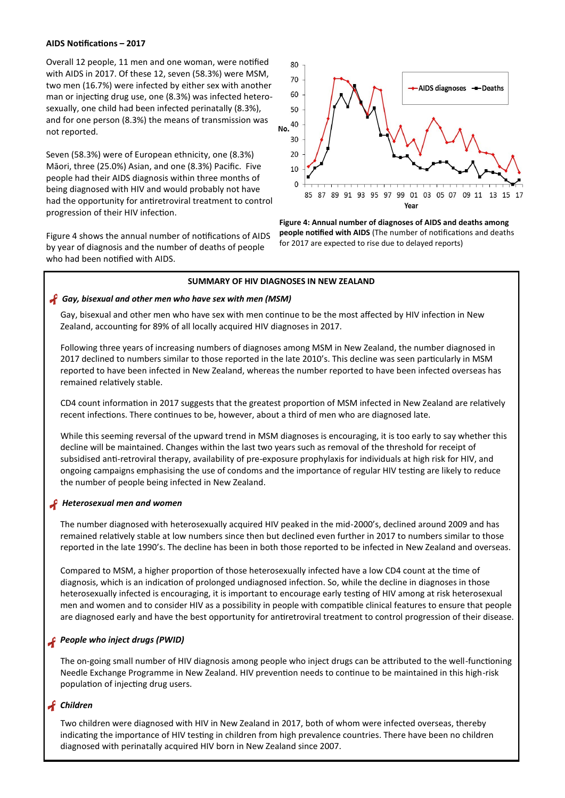### **AIDS Notifications – 2017**

Overall 12 people, 11 men and one woman, were notified with AIDS in 2017. Of these 12, seven (58.3%) were MSM, two men (16.7%) were infected by either sex with another man or injecting drug use, one (8.3%) was infected heterosexually, one child had been infected perinatally (8.3%), and for one person (8.3%) the means of transmission was not reported.

Seven (58.3%) were of European ethnicity, one (8.3%) Māori, three (25.0%) Asian, and one (8.3%) Pacific. Five people had their AIDS diagnosis within three months of being diagnosed with HIV and would probably not have had the opportunity for antiretroviral treatment to control progression of their HIV infection.

Figure 4 shows the annual number of notifications of AIDS by year of diagnosis and the number of deaths of people who had been notified with AIDS.



**Figure 4: Annual number of diagnoses of AIDS and deaths among people notified with AIDS** (The number of notifications and deaths for 2017 are expected to rise due to delayed reports)

### **SUMMARY OF HIV DIAGNOSES IN NEW ZEALAND**

### *Gay, bisexual and other men who have sex with men (MSM)*

 Gay, bisexual and other men who have sex with men continue to be the most affected by HIV infection in New Zealand, accounting for 89% of all locally acquired HIV diagnoses in 2017.

 Following three years of increasing numbers of diagnoses among MSM in New Zealand, the number diagnosed in 2017 declined to numbers similar to those reported in the late 2010's. This decline was seen particularly in MSM reported to have been infected in New Zealand, whereas the number reported to have been infected overseas has remained relatively stable.

 CD4 count information in 2017 suggests that the greatest proportion of MSM infected in New Zealand are relatively recent infections. There continues to be, however, about a third of men who are diagnosed late.

While this seeming reversal of the upward trend in MSM diagnoses is encouraging, it is too early to say whether this decline will be maintained. Changes within the last two years such as removal of the threshold for receipt of subsidised anti-retroviral therapy, availability of pre-exposure prophylaxis for individuals at high risk for HIV, and ongoing campaigns emphasising the use of condoms and the importance of regular HIV testing are likely to reduce the number of people being infected in New Zealand.

# *Heterosexual men and women*

The number diagnosed with heterosexually acquired HIV peaked in the mid-2000's, declined around 2009 and has remained relatively stable at low numbers since then but declined even further in 2017 to numbers similar to those reported in the late 1990's. The decline has been in both those reported to be infected in New Zealand and overseas.

Compared to MSM, a higher proportion of those heterosexually infected have a low CD4 count at the time of diagnosis, which is an indication of prolonged undiagnosed infection. So, while the decline in diagnoses in those heterosexually infected is encouraging, it is important to encourage early testing of HIV among at risk heterosexual men and women and to consider HIV as a possibility in people with compatible clinical features to ensure that people are diagnosed early and have the best opportunity for antiretroviral treatment to control progression of their disease.

# *People who inject drugs (PWID)*

The on-going small number of HIV diagnosis among people who inject drugs can be attributed to the well-functioning Needle Exchange Programme in New Zealand. HIV prevention needs to continue to be maintained in this high-risk population of injecting drug users.

# *Children*

 Two children were diagnosed with HIV in New Zealand in 2017, both of whom were infected overseas, thereby indicating the importance of HIV testing in children from high prevalence countries. There have been no children diagnosed with perinatally acquired HIV born in New Zealand since 2007.